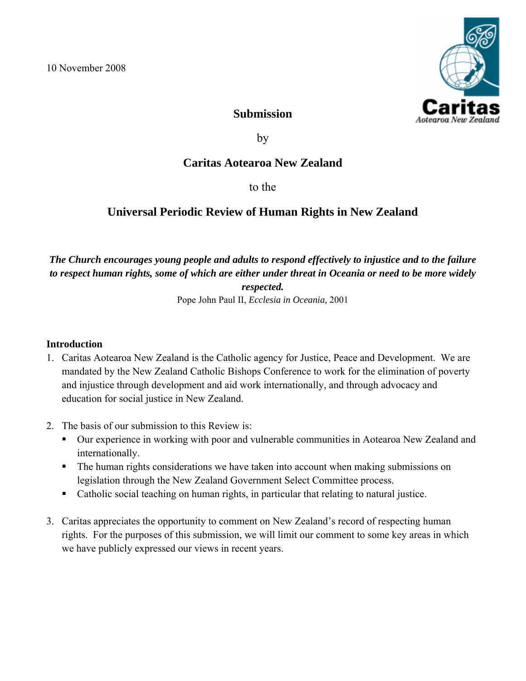

### **Submission**

by

## **Caritas Aotearoa New Zealand**

to the

# **Universal Periodic Review of Human Rights in New Zealand**

### *The Church encourages young people and adults to respond effectively to injustice and to the failure to respect human rights, some of which are either under threat in Oceania or need to be more widely respected.*

Pope John Paul II, *Ecclesia in Oceania,* 2001

#### **Introduction**

- 1. Caritas Aotearoa New Zealand is the Catholic agency for Justice, Peace and Development. We are mandated by the New Zealand Catholic Bishops Conference to work for the elimination of poverty and injustice through development and aid work internationally, and through advocacy and education for social justice in New Zealand.
- 2. The basis of our submission to this Review is:
	- Our experience in working with poor and vulnerable communities in Aotearoa New Zealand and internationally.
	- The human rights considerations we have taken into account when making submissions on legislation through the New Zealand Government Select Committee process.
	- Catholic social teaching on human rights, in particular that relating to natural justice.
- 3. Caritas appreciates the opportunity to comment on New Zealand's record of respecting human rights. For the purposes of this submission, we will limit our comment to some key areas in which we have publicly expressed our views in recent years.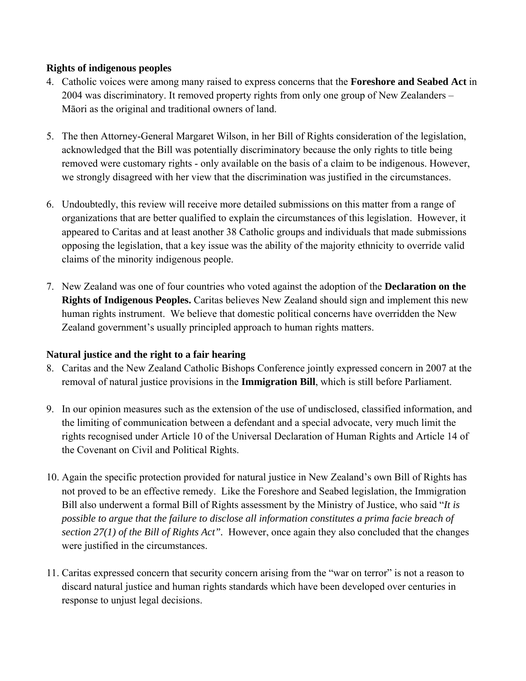#### **Rights of indigenous peoples**

- 4. Catholic voices were among many raised to express concerns that the **Foreshore and Seabed Act** in 2004 was discriminatory. It removed property rights from only one group of New Zealanders – Māori as the original and traditional owners of land.
- 5. The then Attorney-General Margaret Wilson, in her Bill of Rights consideration of the legislation, acknowledged that the Bill was potentially discriminatory because the only rights to title being removed were customary rights - only available on the basis of a claim to be indigenous. However, we strongly disagreed with her view that the discrimination was justified in the circumstances.
- 6. Undoubtedly, this review will receive more detailed submissions on this matter from a range of organizations that are better qualified to explain the circumstances of this legislation. However, it appeared to Caritas and at least another 38 Catholic groups and individuals that made submissions opposing the legislation, that a key issue was the ability of the majority ethnicity to override valid claims of the minority indigenous people.
- 7. New Zealand was one of four countries who voted against the adoption of the **Declaration on the Rights of Indigenous Peoples.** Caritas believes New Zealand should sign and implement this new human rights instrument. We believe that domestic political concerns have overridden the New Zealand government's usually principled approach to human rights matters.

#### **Natural justice and the right to a fair hearing**

- 8. Caritas and the New Zealand Catholic Bishops Conference jointly expressed concern in 2007 at the removal of natural justice provisions in the **Immigration Bill**, which is still before Parliament.
- 9. In our opinion measures such as the extension of the use of undisclosed, classified information, and the limiting of communication between a defendant and a special advocate, very much limit the rights recognised under Article 10 of the Universal Declaration of Human Rights and Article 14 of the Covenant on Civil and Political Rights.
- 10. Again the specific protection provided for natural justice in New Zealand's own Bill of Rights has not proved to be an effective remedy. Like the Foreshore and Seabed legislation, the Immigration Bill also underwent a formal Bill of Rights assessment by the Ministry of Justice, who said "*It is possible to argue that the failure to disclose all information constitutes a prima facie breach of section 27(1) of the Bill of Rights Act".* However, once again they also concluded that the changes were justified in the circumstances.
- 11. Caritas expressed concern that security concern arising from the "war on terror" is not a reason to discard natural justice and human rights standards which have been developed over centuries in response to unjust legal decisions.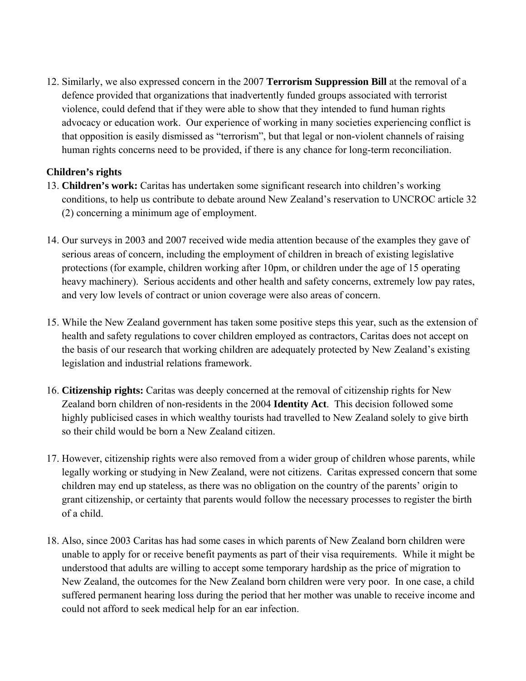12. Similarly, we also expressed concern in the 2007 **Terrorism Suppression Bill** at the removal of a defence provided that organizations that inadvertently funded groups associated with terrorist violence, could defend that if they were able to show that they intended to fund human rights advocacy or education work. Our experience of working in many societies experiencing conflict is that opposition is easily dismissed as "terrorism", but that legal or non-violent channels of raising human rights concerns need to be provided, if there is any chance for long-term reconciliation.

### **Children's rights**

- 13. **Children's work:** Caritas has undertaken some significant research into children's working conditions, to help us contribute to debate around New Zealand's reservation to UNCROC article 32 (2) concerning a minimum age of employment.
- 14. Our surveys in 2003 and 2007 received wide media attention because of the examples they gave of serious areas of concern, including the employment of children in breach of existing legislative protections (for example, children working after 10pm, or children under the age of 15 operating heavy machinery). Serious accidents and other health and safety concerns, extremely low pay rates, and very low levels of contract or union coverage were also areas of concern.
- 15. While the New Zealand government has taken some positive steps this year, such as the extension of health and safety regulations to cover children employed as contractors, Caritas does not accept on the basis of our research that working children are adequately protected by New Zealand's existing legislation and industrial relations framework.
- 16. **Citizenship rights:** Caritas was deeply concerned at the removal of citizenship rights for New Zealand born children of non-residents in the 2004 **Identity Act**. This decision followed some highly publicised cases in which wealthy tourists had travelled to New Zealand solely to give birth so their child would be born a New Zealand citizen.
- 17. However, citizenship rights were also removed from a wider group of children whose parents, while legally working or studying in New Zealand, were not citizens. Caritas expressed concern that some children may end up stateless, as there was no obligation on the country of the parents' origin to grant citizenship, or certainty that parents would follow the necessary processes to register the birth of a child.
- 18. Also, since 2003 Caritas has had some cases in which parents of New Zealand born children were unable to apply for or receive benefit payments as part of their visa requirements. While it might be understood that adults are willing to accept some temporary hardship as the price of migration to New Zealand, the outcomes for the New Zealand born children were very poor. In one case, a child suffered permanent hearing loss during the period that her mother was unable to receive income and could not afford to seek medical help for an ear infection.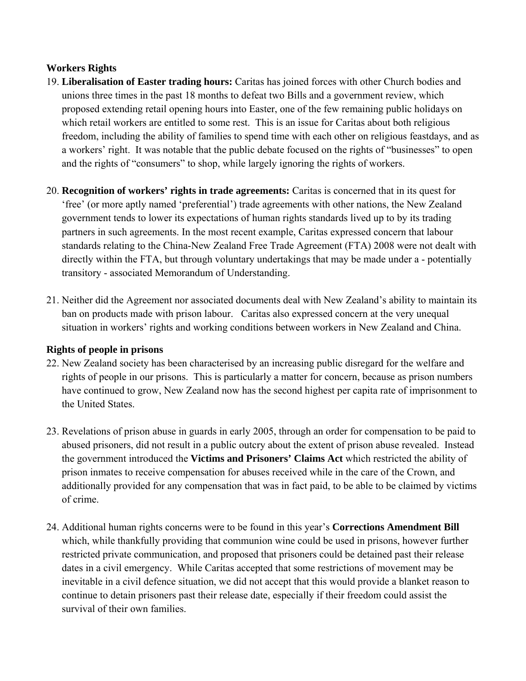### **Workers Rights**

- 19. **Liberalisation of Easter trading hours:** Caritas has joined forces with other Church bodies and unions three times in the past 18 months to defeat two Bills and a government review, which proposed extending retail opening hours into Easter, one of the few remaining public holidays on which retail workers are entitled to some rest. This is an issue for Caritas about both religious freedom, including the ability of families to spend time with each other on religious feastdays, and as a workers' right. It was notable that the public debate focused on the rights of "businesses" to open and the rights of "consumers" to shop, while largely ignoring the rights of workers.
- 20. **Recognition of workers' rights in trade agreements:** Caritas is concerned that in its quest for 'free' (or more aptly named 'preferential') trade agreements with other nations, the New Zealand government tends to lower its expectations of human rights standards lived up to by its trading partners in such agreements. In the most recent example, Caritas expressed concern that labour standards relating to the China-New Zealand Free Trade Agreement (FTA) 2008 were not dealt with directly within the FTA, but through voluntary undertakings that may be made under a - potentially transitory - associated Memorandum of Understanding.
- 21. Neither did the Agreement nor associated documents deal with New Zealand's ability to maintain its ban on products made with prison labour. Caritas also expressed concern at the very unequal situation in workers' rights and working conditions between workers in New Zealand and China.

#### **Rights of people in prisons**

- 22. New Zealand society has been characterised by an increasing public disregard for the welfare and rights of people in our prisons. This is particularly a matter for concern, because as prison numbers have continued to grow, New Zealand now has the second highest per capita rate of imprisonment to the United States.
- 23. Revelations of prison abuse in guards in early 2005, through an order for compensation to be paid to abused prisoners, did not result in a public outcry about the extent of prison abuse revealed. Instead the government introduced the **Victims and Prisoners' Claims Act** which restricted the ability of prison inmates to receive compensation for abuses received while in the care of the Crown, and additionally provided for any compensation that was in fact paid, to be able to be claimed by victims of crime.
- 24. Additional human rights concerns were to be found in this year's **Corrections Amendment Bill** which, while thankfully providing that communion wine could be used in prisons, however further restricted private communication, and proposed that prisoners could be detained past their release dates in a civil emergency. While Caritas accepted that some restrictions of movement may be inevitable in a civil defence situation, we did not accept that this would provide a blanket reason to continue to detain prisoners past their release date, especially if their freedom could assist the survival of their own families.